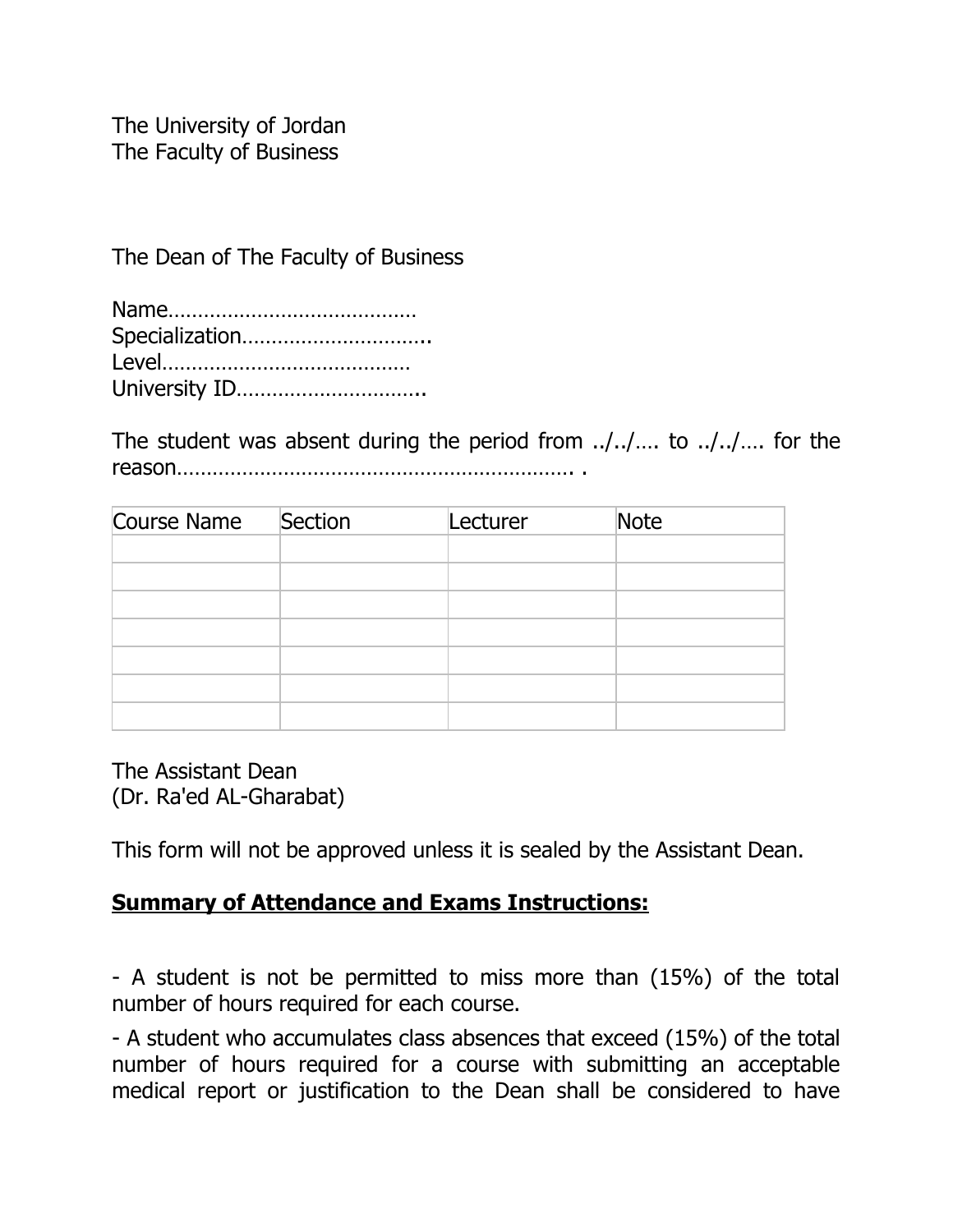The University of Jordan The Faculty of Business

The Dean of The Faculty of Business

| Specialization |
|----------------|
|                |
| University ID  |

The student was absent during the period from ../../…. to ../../…. for the reason…………………………………………………………. .

| Course Name Section | Lecturer | Note |  |
|---------------------|----------|------|--|
|                     |          |      |  |
|                     |          |      |  |
|                     |          |      |  |
|                     |          |      |  |
|                     |          |      |  |
|                     |          |      |  |
|                     |          |      |  |

The Assistant Dean (Dr. Ra'ed AL-Gharabat)

This form will not be approved unless it is sealed by the Assistant Dean.

## **Summary of Attendance and Exams Instructions:**

- A student is not be permitted to miss more than (15%) of the total number of hours required for each course.

- A student who accumulates class absences that exceed (15%) of the total number of hours required for a course with submitting an acceptable medical report or justification to the Dean shall be considered to have